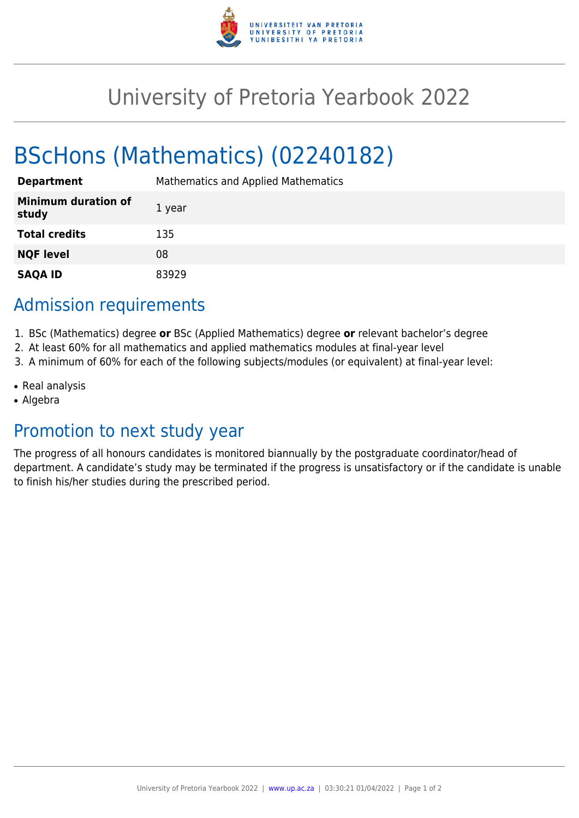

# University of Pretoria Yearbook 2022

# BScHons (Mathematics) (02240182)

| <b>Department</b>                   | Mathematics and Applied Mathematics |
|-------------------------------------|-------------------------------------|
| <b>Minimum duration of</b><br>study | 1 year                              |
| <b>Total credits</b>                | 135                                 |
| <b>NQF level</b>                    | 08                                  |
| <b>SAQA ID</b>                      | 83929                               |

### Admission requirements

- 1. BSc (Mathematics) degree **or** BSc (Applied Mathematics) degree **or** relevant bachelor's degree
- 2. At least 60% for all mathematics and applied mathematics modules at final-year level
- 3. A minimum of 60% for each of the following subjects/modules (or equivalent) at final-year level:
- Real analysis
- Algebra

## Promotion to next study year

The progress of all honours candidates is monitored biannually by the postgraduate coordinator/head of department. A candidate's study may be terminated if the progress is unsatisfactory or if the candidate is unable to finish his/her studies during the prescribed period.